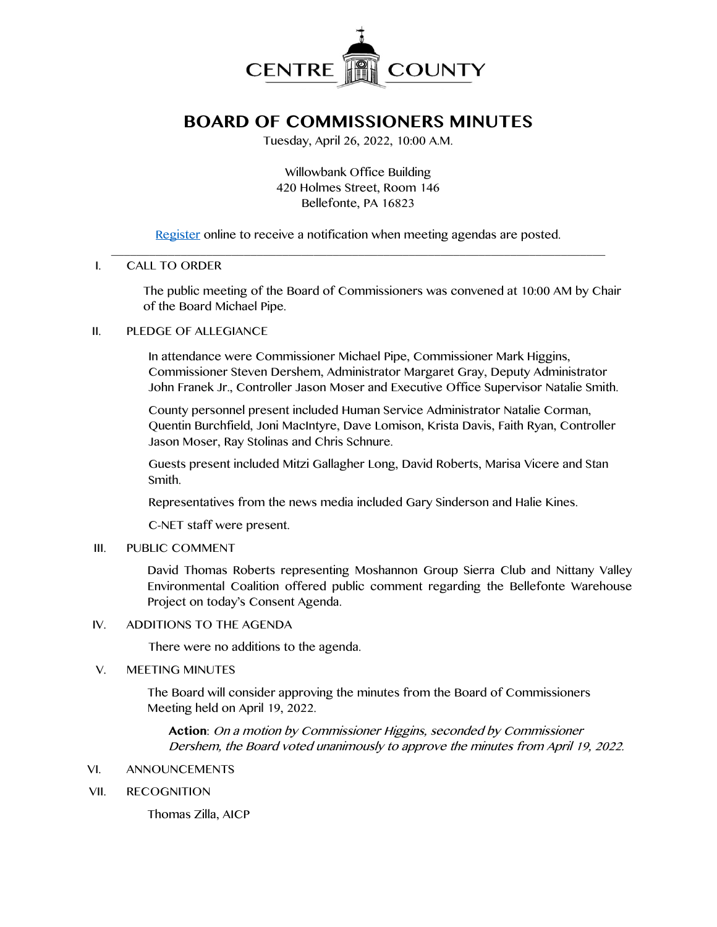

# **BOARD OF COMMISSIONERS MINUTES**

Tuesday, April 26, 2022, 10:00 A.M.

Willowbank Office Building 420 Holmes Street, Room 146 Bellefonte, PA 16823

[Register](http://www.centrecountypa.gov/AgendaCenter) online to receive a notification when meeting agendas are posted.

#### \_\_\_\_\_\_\_\_\_\_\_\_\_\_\_\_\_\_\_\_\_\_\_\_\_\_\_\_\_\_\_\_\_\_\_\_\_\_\_\_\_\_\_\_\_\_\_\_\_\_\_\_\_\_\_\_\_\_\_\_\_\_\_\_\_\_\_\_\_\_\_\_\_\_\_\_\_\_ I. CALL TO ORDER

The public meeting of the Board of Commissioners was convened at 10:00 AM by Chair of the Board Michael Pipe.

## II. PLEDGE OF ALLEGIANCE

In attendance were Commissioner Michael Pipe, Commissioner Mark Higgins, Commissioner Steven Dershem, Administrator Margaret Gray, Deputy Administrator John Franek Jr., Controller Jason Moser and Executive Office Supervisor Natalie Smith.

County personnel present included Human Service Administrator Natalie Corman, Quentin Burchfield, Joni MacIntyre, Dave Lomison, Krista Davis, Faith Ryan, Controller Jason Moser, Ray Stolinas and Chris Schnure.

Guests present included Mitzi Gallagher Long, David Roberts, Marisa Vicere and Stan Smith.

Representatives from the news media included Gary Sinderson and Halie Kines.

C-NET staff were present.

# III. PUBLIC COMMENT

David Thomas Roberts representing Moshannon Group Sierra Club and Nittany Valley Environmental Coalition offered public comment regarding the Bellefonte Warehouse Project on today's Consent Agenda.

## IV. ADDITIONS TO THE AGENDA

There were no additions to the agenda.

## V. MEETING MINUTES

The Board will consider approving the minutes from the Board of Commissioners Meeting held on April 19, 2022.

**Action**: On a motion by Commissioner Higgins, seconded by Commissioner Dershem, the Board voted unanimously to approve the minutes from April 19, 2022.

## VI. ANNOUNCEMENTS

VII. RECOGNITION

Thomas Zilla, AICP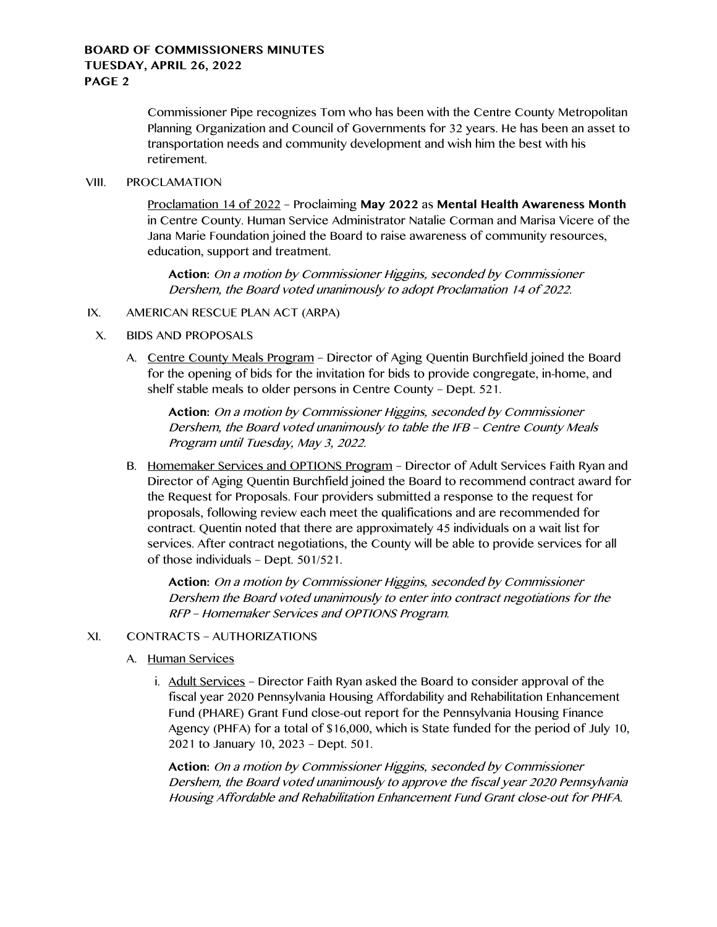Commissioner Pipe recognizes Tom who has been with the Centre County Metropolitan Planning Organization and Council of Governments for 32 years. He has been an asset to transportation needs and community development and wish him the best with his retirement.

#### VIII. PROCLAMATION

Proclamation 14 of 2022 – Proclaiming **May 2022** as **Mental Health Awareness Month** in Centre County. Human Service Administrator Natalie Corman and Marisa Vicere of the Jana Marie Foundation joined the Board to raise awareness of community resources, education, support and treatment.

**Action:** On a motion by Commissioner Higgins, seconded by Commissioner Dershem, the Board voted unanimously to adopt Proclamation 14 of 2022.

## IX. AMERICAN RESCUE PLAN ACT (ARPA)

- X. BIDS AND PROPOSALS
	- A. Centre County Meals Program Director of Aging Quentin Burchfield joined the Board for the opening of bids for the invitation for bids to provide congregate, in-home, and shelf stable meals to older persons in Centre County – Dept. 521.

**Action:** On a motion by Commissioner Higgins, seconded by Commissioner Dershem, the Board voted unanimously to table the IFB – Centre County Meals Program until Tuesday, May 3, 2022.

B. Homemaker Services and OPTIONS Program – Director of Adult Services Faith Ryan and Director of Aging Quentin Burchfield joined the Board to recommend contract award for the Request for Proposals. Four providers submitted a response to the request for proposals, following review each meet the qualifications and are recommended for contract. Quentin noted that there are approximately 45 individuals on a wait list for services. After contract negotiations, the County will be able to provide services for all of those individuals – Dept. 501/521.

**Action:** On a motion by Commissioner Higgins, seconded by Commissioner Dershem the Board voted unanimously to enter into contract negotiations for the RFP – Homemaker Services and OPTIONS Program.

## XI. CONTRACTS – AUTHORIZATIONS

- A. Human Services
	- i. Adult Services Director Faith Ryan asked the Board to consider approval of the fiscal year 2020 Pennsylvania Housing Affordability and Rehabilitation Enhancement Fund (PHARE) Grant Fund close-out report for the Pennsylvania Housing Finance Agency (PHFA) for a total of \$16,000, which is State funded for the period of July 10, 2021 to January 10, 2023 – Dept. 501.

**Action:** On a motion by Commissioner Higgins, seconded by Commissioner Dershem, the Board voted unanimously to approve the fiscal year 2020 Pennsylvania Housing Affordable and Rehabilitation Enhancement Fund Grant close-out for PHFA.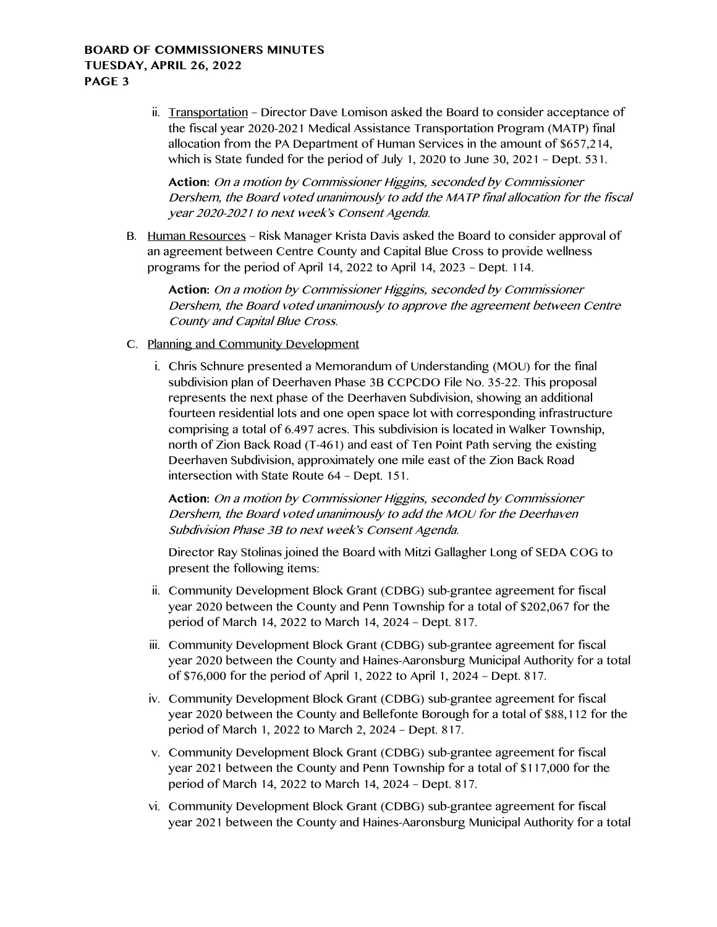ii. Transportation – Director Dave Lomison asked the Board to consider acceptance of the fiscal year 2020-2021 Medical Assistance Transportation Program (MATP) final allocation from the PA Department of Human Services in the amount of \$657,214, which is State funded for the period of July 1, 2020 to June 30, 2021 – Dept. 531.

**Action:** On a motion by Commissioner Higgins, seconded by Commissioner Dershem, the Board voted unanimously to add the MATP final allocation for the fiscal year 2020-2021 to next week's Consent Agenda.

B. Human Resources – Risk Manager Krista Davis asked the Board to consider approval of an agreement between Centre County and Capital Blue Cross to provide wellness programs for the period of April 14, 2022 to April 14, 2023 – Dept. 114.

**Action:** On a motion by Commissioner Higgins, seconded by Commissioner Dershem, the Board voted unanimously to approve the agreement between Centre County and Capital Blue Cross.

- C. Planning and Community Development
	- i. Chris Schnure presented a Memorandum of Understanding (MOU) for the final subdivision plan of Deerhaven Phase 3B CCPCDO File No. 35-22. This proposal represents the next phase of the Deerhaven Subdivision, showing an additional fourteen residential lots and one open space lot with corresponding infrastructure comprising a total of 6.497 acres. This subdivision is located in Walker Township, north of Zion Back Road (T-461) and east of Ten Point Path serving the existing Deerhaven Subdivision, approximately one mile east of the Zion Back Road intersection with State Route 64 – Dept. 151.

**Action:** On a motion by Commissioner Higgins, seconded by Commissioner Dershem, the Board voted unanimously to add the MOU for the Deerhaven Subdivision Phase 3B to next week's Consent Agenda.

Director Ray Stolinas joined the Board with Mitzi Gallagher Long of SEDA COG to present the following items:

- ii. Community Development Block Grant (CDBG) sub-grantee agreement for fiscal year 2020 between the County and Penn Township for a total of \$202,067 for the period of March 14, 2022 to March 14, 2024 – Dept. 817.
- iii. Community Development Block Grant (CDBG) sub-grantee agreement for fiscal year 2020 between the County and Haines-Aaronsburg Municipal Authority for a total of \$76,000 for the period of April 1, 2022 to April 1, 2024 – Dept. 817.
- iv. Community Development Block Grant (CDBG) sub-grantee agreement for fiscal year 2020 between the County and Bellefonte Borough for a total of \$88,112 for the period of March 1, 2022 to March 2, 2024 – Dept. 817.
- v. Community Development Block Grant (CDBG) sub-grantee agreement for fiscal year 2021 between the County and Penn Township for a total of \$117,000 for the period of March 14, 2022 to March 14, 2024 – Dept. 817.
- vi. Community Development Block Grant (CDBG) sub-grantee agreement for fiscal year 2021 between the County and Haines-Aaronsburg Municipal Authority for a total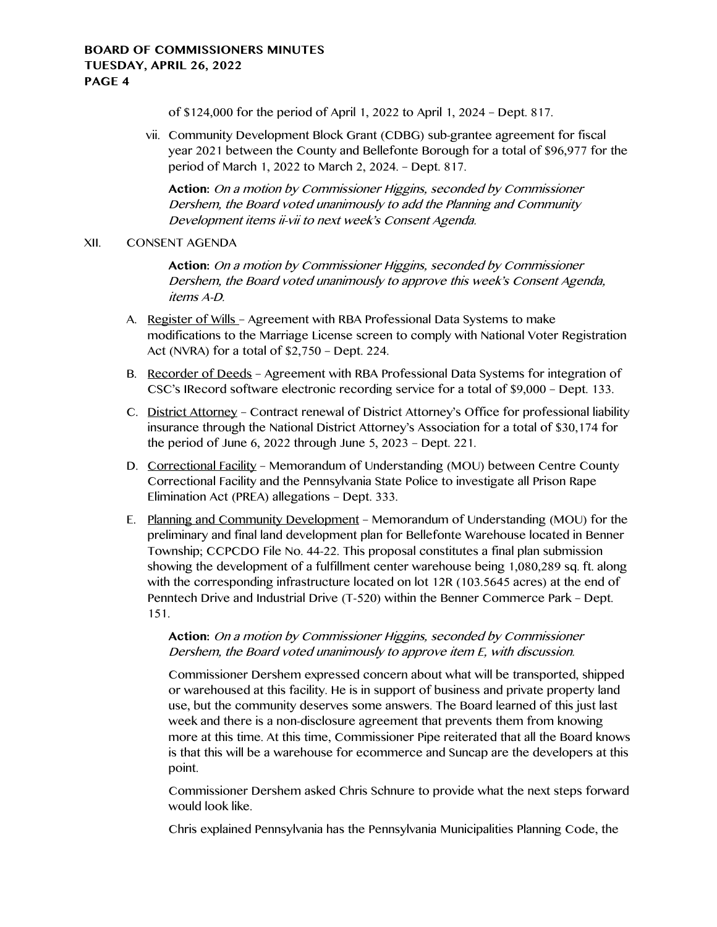of \$124,000 for the period of April 1, 2022 to April 1, 2024 – Dept. 817.

vii. Community Development Block Grant (CDBG) sub-grantee agreement for fiscal year 2021 between the County and Bellefonte Borough for a total of \$96,977 for the period of March 1, 2022 to March 2, 2024. – Dept. 817.

**Action:** On a motion by Commissioner Higgins, seconded by Commissioner Dershem, the Board voted unanimously to add the Planning and Community Development items ii-vii to next week's Consent Agenda.

## XII. CONSENT AGENDA

**Action:** On a motion by Commissioner Higgins, seconded by Commissioner Dershem, the Board voted unanimously to approve this week's Consent Agenda, items A-D.

- A. Register of Wills Agreement with RBA Professional Data Systems to make modifications to the Marriage License screen to comply with National Voter Registration Act (NVRA) for a total of \$2,750 – Dept. 224.
- B. Recorder of Deeds Agreement with RBA Professional Data Systems for integration of CSC's IRecord software electronic recording service for a total of \$9,000 – Dept. 133.
- C. District Attorney Contract renewal of District Attorney's Office for professional liability insurance through the National District Attorney's Association for a total of \$30,174 for the period of June 6, 2022 through June 5, 2023 – Dept. 221.
- D. Correctional Facility Memorandum of Understanding (MOU) between Centre County Correctional Facility and the Pennsylvania State Police to investigate all Prison Rape Elimination Act (PREA) allegations – Dept. 333.
- E. Planning and Community Development Memorandum of Understanding (MOU) for the preliminary and final land development plan for Bellefonte Warehouse located in Benner Township; CCPCDO File No. 44-22. This proposal constitutes a final plan submission showing the development of a fulfillment center warehouse being 1,080,289 sq. ft. along with the corresponding infrastructure located on lot 12R (103.5645 acres) at the end of Penntech Drive and Industrial Drive (T-520) within the Benner Commerce Park – Dept. 151.

# **Action:** On a motion by Commissioner Higgins, seconded by Commissioner Dershem, the Board voted unanimously to approve item E, with discussion.

Commissioner Dershem expressed concern about what will be transported, shipped or warehoused at this facility. He is in support of business and private property land use, but the community deserves some answers. The Board learned of this just last week and there is a non-disclosure agreement that prevents them from knowing more at this time. At this time, Commissioner Pipe reiterated that all the Board knows is that this will be a warehouse for ecommerce and Suncap are the developers at this point.

Commissioner Dershem asked Chris Schnure to provide what the next steps forward would look like.

Chris explained Pennsylvania has the Pennsylvania Municipalities Planning Code, the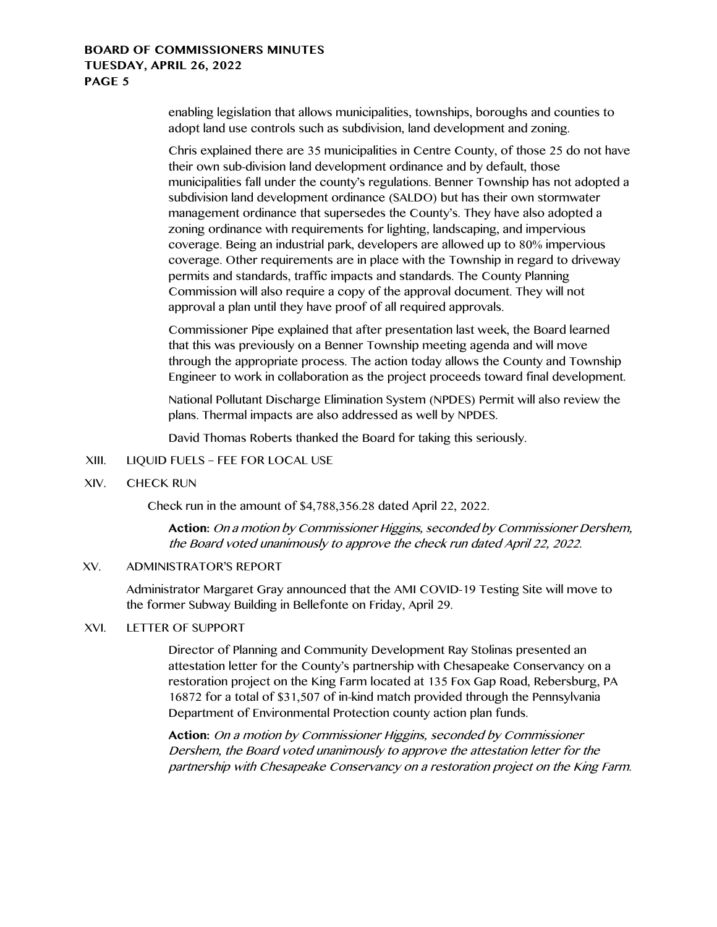enabling legislation that allows municipalities, townships, boroughs and counties to adopt land use controls such as subdivision, land development and zoning.

Chris explained there are 35 municipalities in Centre County, of those 25 do not have their own sub-division land development ordinance and by default, those municipalities fall under the county's regulations. Benner Township has not adopted a subdivision land development ordinance (SALDO) but has their own stormwater management ordinance that supersedes the County's. They have also adopted a zoning ordinance with requirements for lighting, landscaping, and impervious coverage. Being an industrial park, developers are allowed up to 80% impervious coverage. Other requirements are in place with the Township in regard to driveway permits and standards, traffic impacts and standards. The County Planning Commission will also require a copy of the approval document. They will not approval a plan until they have proof of all required approvals.

Commissioner Pipe explained that after presentation last week, the Board learned that this was previously on a Benner Township meeting agenda and will move through the appropriate process. The action today allows the County and Township Engineer to work in collaboration as the project proceeds toward final development.

National Pollutant Discharge Elimination System (NPDES) Permit will also review the plans. Thermal impacts are also addressed as well by NPDES.

David Thomas Roberts thanked the Board for taking this seriously.

- XIII. LIQUID FUELS FEE FOR LOCAL USE
- XIV. CHECK RUN

Check run in the amount of \$4,788,356.28 dated April 22, 2022.

**Action:** On a motion by Commissioner Higgins, seconded by Commissioner Dershem, the Board voted unanimously to approve the check run dated April 22, 2022.

# XV. ADMINISTRATOR'S REPORT

Administrator Margaret Gray announced that the AMI COVID-19 Testing Site will move to the former Subway Building in Bellefonte on Friday, April 29.

## XVI. LETTER OF SUPPORT

Director of Planning and Community Development Ray Stolinas presented an attestation letter for the County's partnership with Chesapeake Conservancy on a restoration project on the King Farm located at 135 Fox Gap Road, Rebersburg, PA 16872 for a total of \$31,507 of in-kind match provided through the Pennsylvania Department of Environmental Protection county action plan funds.

**Action:** On a motion by Commissioner Higgins, seconded by Commissioner Dershem, the Board voted unanimously to approve the attestation letter for the partnership with Chesapeake Conservancy on a restoration project on the King Farm.